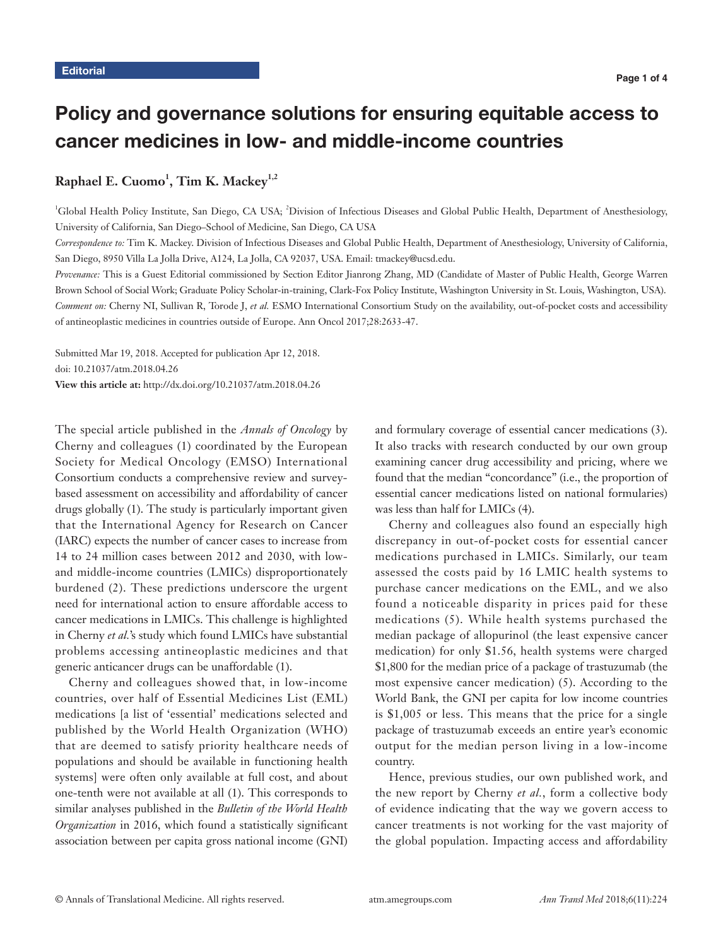# Policy and governance solutions for ensuring equitable access to cancer medicines in low- and middle-income countries

# $\mathbf{R}$ aphael E. Cuomo<sup>1</sup>, Tim K. Mackey<sup>1,2</sup>

<sup>1</sup>Global Health Policy Institute, San Diego, CA USA; <sup>2</sup>Division of Infectious Diseases and Global Public Health, Department of Anesthesiology, University of California, San Diego–School of Medicine, San Diego, CA USA

*Correspondence to:* Tim K. Mackey. Division of Infectious Diseases and Global Public Health, Department of Anesthesiology, University of California, San Diego, 8950 Villa La Jolla Drive, A124, La Jolla, CA 92037, USA. Email: tmackey@ucsd.edu.

*Provenance:* This is a Guest Editorial commissioned by Section Editor Jianrong Zhang, MD (Candidate of Master of Public Health, George Warren Brown School of Social Work; Graduate Policy Scholar-in-training, Clark-Fox Policy Institute, Washington University in St. Louis, Washington, USA). *Comment on:* Cherny NI, Sullivan R, Torode J, *et al.* ESMO International Consortium Study on the availability, out-of-pocket costs and accessibility of antineoplastic medicines in countries outside of Europe. Ann Oncol 2017;28:2633-47.

Submitted Mar 19, 2018. Accepted for publication Apr 12, 2018. doi: 10.21037/atm.2018.04.26 **View this article at:** http://dx.doi.org/10.21037/atm.2018.04.26

The special article published in the *Annals of Oncology* by Cherny and colleagues (1) coordinated by the European Society for Medical Oncology (EMSO) International Consortium conducts a comprehensive review and surveybased assessment on accessibility and affordability of cancer drugs globally (1). The study is particularly important given that the International Agency for Research on Cancer (IARC) expects the number of cancer cases to increase from 14 to 24 million cases between 2012 and 2030, with lowand middle-income countries (LMICs) disproportionately burdened (2). These predictions underscore the urgent need for international action to ensure affordable access to cancer medications in LMICs. This challenge is highlighted in Cherny *et al.*'s study which found LMICs have substantial problems accessing antineoplastic medicines and that generic anticancer drugs can be unaffordable (1).

Cherny and colleagues showed that, in low-income countries, over half of Essential Medicines List (EML) medications [a list of 'essential' medications selected and published by the World Health Organization (WHO) that are deemed to satisfy priority healthcare needs of populations and should be available in functioning health systems] were often only available at full cost, and about one-tenth were not available at all (1). This corresponds to similar analyses published in the *Bulletin of the World Health Organization* in 2016, which found a statistically significant association between per capita gross national income (GNI) and formulary coverage of essential cancer medications (3). It also tracks with research conducted by our own group examining cancer drug accessibility and pricing, where we found that the median "concordance" (i.e., the proportion of essential cancer medications listed on national formularies) was less than half for LMICs (4).

Cherny and colleagues also found an especially high discrepancy in out-of-pocket costs for essential cancer medications purchased in LMICs. Similarly, our team assessed the costs paid by 16 LMIC health systems to purchase cancer medications on the EML, and we also found a noticeable disparity in prices paid for these medications (5). While health systems purchased the median package of allopurinol (the least expensive cancer medication) for only \$1.56, health systems were charged \$1,800 for the median price of a package of trastuzumab (the most expensive cancer medication) (5). According to the World Bank, the GNI per capita for low income countries is \$1,005 or less. This means that the price for a single package of trastuzumab exceeds an entire year's economic output for the median person living in a low-income country.

Hence, previous studies, our own published work, and the new report by Cherny *et al.*, form a collective body of evidence indicating that the way we govern access to cancer treatments is not working for the vast majority of the global population. Impacting access and affordability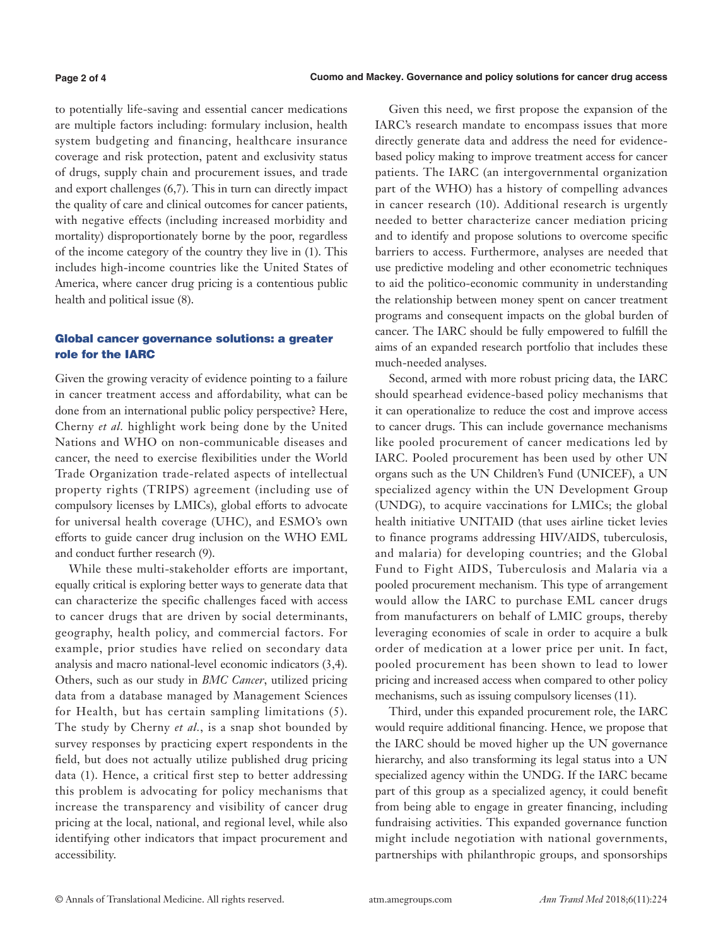to potentially life-saving and essential cancer medications are multiple factors including: formulary inclusion, health system budgeting and financing, healthcare insurance coverage and risk protection, patent and exclusivity status of drugs, supply chain and procurement issues, and trade and export challenges (6,7). This in turn can directly impact the quality of care and clinical outcomes for cancer patients, with negative effects (including increased morbidity and mortality) disproportionately borne by the poor, regardless of the income category of the country they live in (1). This includes high-income countries like the United States of America, where cancer drug pricing is a contentious public health and political issue (8).

# Global cancer governance solutions: a greater role for the IARC

Given the growing veracity of evidence pointing to a failure in cancer treatment access and affordability, what can be done from an international public policy perspective? Here, Cherny *et al.* highlight work being done by the United Nations and WHO on non-communicable diseases and cancer, the need to exercise flexibilities under the World Trade Organization trade-related aspects of intellectual property rights (TRIPS) agreement (including use of compulsory licenses by LMICs), global efforts to advocate for universal health coverage (UHC), and ESMO's own efforts to guide cancer drug inclusion on the WHO EML and conduct further research (9).

While these multi-stakeholder efforts are important, equally critical is exploring better ways to generate data that can characterize the specific challenges faced with access to cancer drugs that are driven by social determinants, geography, health policy, and commercial factors. For example, prior studies have relied on secondary data analysis and macro national-level economic indicators (3,4). Others, such as our study in *BMC Cancer*, utilized pricing data from a database managed by Management Sciences for Health, but has certain sampling limitations (5). The study by Cherny *et al.*, is a snap shot bounded by survey responses by practicing expert respondents in the field, but does not actually utilize published drug pricing data (1). Hence, a critical first step to better addressing this problem is advocating for policy mechanisms that increase the transparency and visibility of cancer drug pricing at the local, national, and regional level, while also identifying other indicators that impact procurement and accessibility.

Given this need, we first propose the expansion of the IARC's research mandate to encompass issues that more directly generate data and address the need for evidencebased policy making to improve treatment access for cancer patients. The IARC (an intergovernmental organization part of the WHO) has a history of compelling advances in cancer research (10). Additional research is urgently needed to better characterize cancer mediation pricing and to identify and propose solutions to overcome specific barriers to access. Furthermore, analyses are needed that use predictive modeling and other econometric techniques to aid the politico-economic community in understanding the relationship between money spent on cancer treatment programs and consequent impacts on the global burden of cancer. The IARC should be fully empowered to fulfill the aims of an expanded research portfolio that includes these much-needed analyses.

Second, armed with more robust pricing data, the IARC should spearhead evidence-based policy mechanisms that it can operationalize to reduce the cost and improve access to cancer drugs. This can include governance mechanisms like pooled procurement of cancer medications led by IARC. Pooled procurement has been used by other UN organs such as the UN Children's Fund (UNICEF), a UN specialized agency within the UN Development Group (UNDG), to acquire vaccinations for LMICs; the global health initiative UNITAID (that uses airline ticket levies to finance programs addressing HIV/AIDS, tuberculosis, and malaria) for developing countries; and the Global Fund to Fight AIDS, Tuberculosis and Malaria via a pooled procurement mechanism. This type of arrangement would allow the IARC to purchase EML cancer drugs from manufacturers on behalf of LMIC groups, thereby leveraging economies of scale in order to acquire a bulk order of medication at a lower price per unit. In fact, pooled procurement has been shown to lead to lower pricing and increased access when compared to other policy mechanisms, such as issuing compulsory licenses (11).

Third, under this expanded procurement role, the IARC would require additional financing. Hence, we propose that the IARC should be moved higher up the UN governance hierarchy, and also transforming its legal status into a UN specialized agency within the UNDG. If the IARC became part of this group as a specialized agency, it could benefit from being able to engage in greater financing, including fundraising activities. This expanded governance function might include negotiation with national governments, partnerships with philanthropic groups, and sponsorships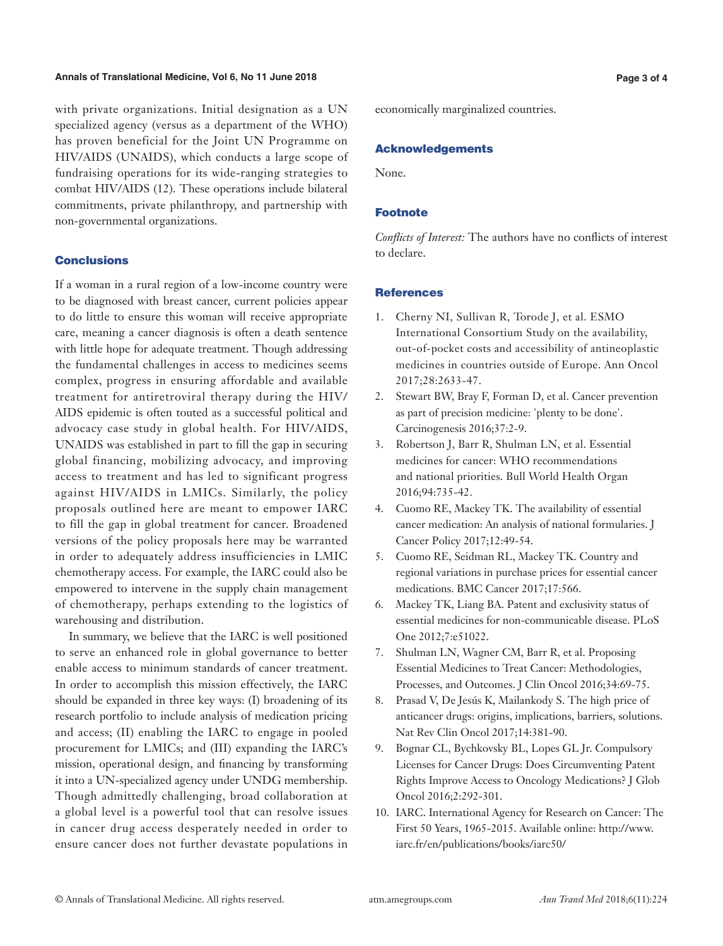#### **Annals of Translational Medicine, Vol 6, No 11 June 2018 Page 3 of 4**

with private organizations. Initial designation as a UN specialized agency (versus as a department of the WHO) has proven beneficial for the Joint UN Programme on HIV/AIDS (UNAIDS), which conducts a large scope of fundraising operations for its wide-ranging strategies to combat HIV/AIDS (12). These operations include bilateral commitments, private philanthropy, and partnership with non-governmental organizations.

### Conclusions

If a woman in a rural region of a low-income country were to be diagnosed with breast cancer, current policies appear to do little to ensure this woman will receive appropriate care, meaning a cancer diagnosis is often a death sentence with little hope for adequate treatment. Though addressing the fundamental challenges in access to medicines seems complex, progress in ensuring affordable and available treatment for antiretroviral therapy during the HIV/ AIDS epidemic is often touted as a successful political and advocacy case study in global health. For HIV/AIDS, UNAIDS was established in part to fill the gap in securing global financing, mobilizing advocacy, and improving access to treatment and has led to significant progress against HIV/AIDS in LMICs. Similarly, the policy proposals outlined here are meant to empower IARC to fill the gap in global treatment for cancer. Broadened versions of the policy proposals here may be warranted in order to adequately address insufficiencies in LMIC chemotherapy access. For example, the IARC could also be empowered to intervene in the supply chain management of chemotherapy, perhaps extending to the logistics of warehousing and distribution.

In summary, we believe that the IARC is well positioned to serve an enhanced role in global governance to better enable access to minimum standards of cancer treatment. In order to accomplish this mission effectively, the IARC should be expanded in three key ways: (I) broadening of its research portfolio to include analysis of medication pricing and access; (II) enabling the IARC to engage in pooled procurement for LMICs; and (III) expanding the IARC's mission, operational design, and financing by transforming it into a UN-specialized agency under UNDG membership. Though admittedly challenging, broad collaboration at a global level is a powerful tool that can resolve issues in cancer drug access desperately needed in order to ensure cancer does not further devastate populations in economically marginalized countries.

#### Acknowledgements

None.

#### Footnote

*Conflicts of Interest:* The authors have no conflicts of interest to declare.

#### **References**

- 1. Cherny NI, Sullivan R, Torode J, et al. ESMO International Consortium Study on the availability, out-of-pocket costs and accessibility of antineoplastic medicines in countries outside of Europe. Ann Oncol 2017;28:2633-47.
- 2. Stewart BW, Bray F, Forman D, et al. Cancer prevention as part of precision medicine: 'plenty to be done'. Carcinogenesis 2016;37:2-9.
- 3. Robertson J, Barr R, Shulman LN, et al. Essential medicines for cancer: WHO recommendations and national priorities. Bull World Health Organ 2016;94:735-42.
- 4. Cuomo RE, Mackey TK. The availability of essential cancer medication: An analysis of national formularies. J Cancer Policy 2017;12:49-54.
- 5. Cuomo RE, Seidman RL, Mackey TK. Country and regional variations in purchase prices for essential cancer medications. BMC Cancer 2017;17:566.
- 6. Mackey TK, Liang BA. Patent and exclusivity status of essential medicines for non-communicable disease. PLoS One 2012;7:e51022.
- 7. Shulman LN, Wagner CM, Barr R, et al. Proposing Essential Medicines to Treat Cancer: Methodologies, Processes, and Outcomes. J Clin Oncol 2016;34:69-75.
- 8. Prasad V, De Jesús K, Mailankody S. The high price of anticancer drugs: origins, implications, barriers, solutions. Nat Rev Clin Oncol 2017;14:381-90.
- 9. Bognar CL, Bychkovsky BL, Lopes GL Jr. Compulsory Licenses for Cancer Drugs: Does Circumventing Patent Rights Improve Access to Oncology Medications? J Glob Oncol 2016;2:292-301.
- 10. IARC. International Agency for Research on Cancer: The First 50 Years, 1965-2015. Available online: http://www. iarc.fr/en/publications/books/iarc50/